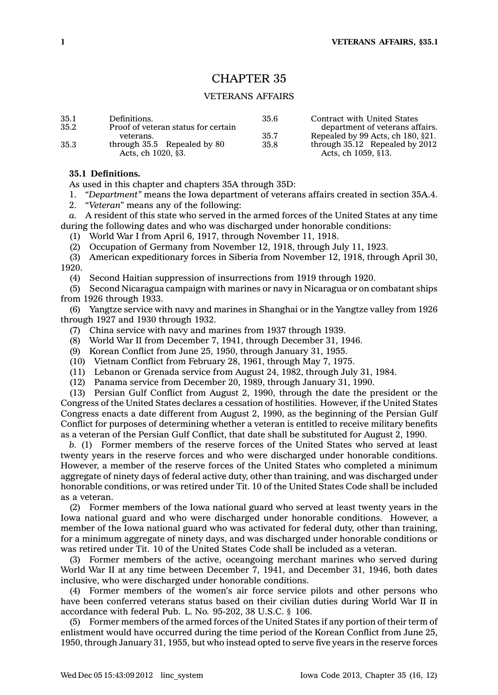# CHAPTER 35

## VETERANS AFFAIRS

| 35.1 | Definitions.                        | 35.6 | Contract with United States          |
|------|-------------------------------------|------|--------------------------------------|
| 35.2 | Proof of veteran status for certain |      | department of veterans affairs.      |
|      | veterans.                           | 35.7 | Repealed by 99 Acts, ch $180, §21$ . |
| 35.3 | through 35.5 Repealed by 80         | 35.8 | through $35.12$ Repealed by $2012$   |
|      | Acts, ch 1020, §3.                  |      | Acts, ch 1059, §13.                  |

### **35.1 Definitions.**

As used in this chapter and chapters 35A through 35D:

1. *"Department"* means the Iowa department of veterans affairs created in section 35A.4.

2. *"Veteran"* means any of the following:

*a.* A resident of this state who served in the armed forces of the United States at any time during the following dates and who was discharged under honorable conditions:

(1) World War I from April 6, 1917, through November 11, 1918.

(2) Occupation of Germany from November 12, 1918, through July 11, 1923.

(3) American expeditionary forces in Siberia from November 12, 1918, through April 30, 1920.

(4) Second Haitian suppression of insurrections from 1919 through 1920.

(5) Second Nicaragua campaign with marines or navy in Nicaragua or on combatant ships from 1926 through 1933.

(6) Yangtze service with navy and marines in Shanghai or in the Yangtze valley from 1926 through 1927 and 1930 through 1932.

- (7) China service with navy and marines from 1937 through 1939.
- (8) World War II from December 7, 1941, through December 31, 1946.
- (9) Korean Conflict from June 25, 1950, through January 31, 1955.
- (10) Vietnam Conflict from February 28, 1961, through May 7, 1975.
- (11) Lebanon or Grenada service from August 24, 1982, through July 31, 1984.

(12) Panama service from December 20, 1989, through January 31, 1990.

(13) Persian Gulf Conflict from August 2, 1990, through the date the president or the Congress of the United States declares <sup>a</sup> cessation of hostilities. However, if the United States Congress enacts <sup>a</sup> date different from August 2, 1990, as the beginning of the Persian Gulf Conflict for purposes of determining whether <sup>a</sup> veteran is entitled to receive military benefits as <sup>a</sup> veteran of the Persian Gulf Conflict, that date shall be substituted for August 2, 1990.

*b.* (1) Former members of the reserve forces of the United States who served at least twenty years in the reserve forces and who were discharged under honorable conditions. However, <sup>a</sup> member of the reserve forces of the United States who completed <sup>a</sup> minimum aggregate of ninety days of federal active duty, other than training, and was discharged under honorable conditions, or was retired under Tit. 10 of the United States Code shall be included as a veteran.

(2) Former members of the Iowa national guard who served at least twenty years in the Iowa national guard and who were discharged under honorable conditions. However, <sup>a</sup> member of the Iowa national guard who was activated for federal duty, other than training, for <sup>a</sup> minimum aggregate of ninety days, and was discharged under honorable conditions or was retired under Tit. 10 of the United States Code shall be included as <sup>a</sup> veteran.

(3) Former members of the active, oceangoing merchant marines who served during World War II at any time between December 7, 1941, and December 31, 1946, both dates inclusive, who were discharged under honorable conditions.

(4) Former members of the women's air force service pilots and other persons who have been conferred veterans status based on their civilian duties during World War II in accordance with federal Pub. L. No. 95-202, 38 U.S.C. § 106.

(5) Former members of the armed forces of the United States if any portion of their term of enlistment would have occurred during the time period of the Korean Conflict from June 25, 1950, through January 31, 1955, but who instead opted to serve five years in the reserve forces